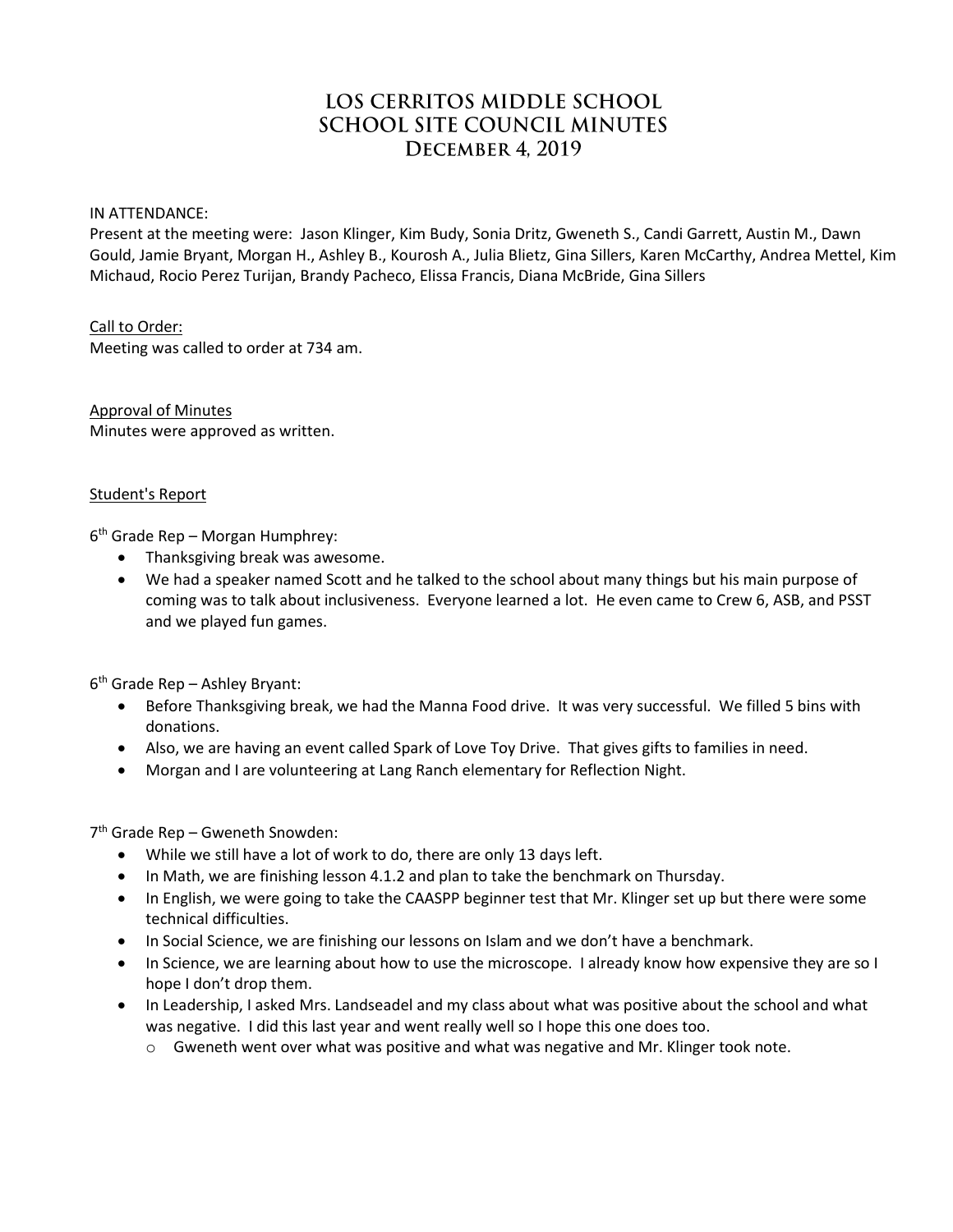# LOS CERRITOS MIDDLE SCHOOL **SCHOOL SITE COUNCIL MINUTES** DECEMBER 4, 2019

#### IN ATTENDANCE:

Present at the meeting were: Jason Klinger, Kim Budy, Sonia Dritz, Gweneth S., Candi Garrett, Austin M., Dawn Gould, Jamie Bryant, Morgan H., Ashley B., Kourosh A., Julia Blietz, Gina Sillers, Karen McCarthy, Andrea Mettel, Kim Michaud, Rocio Perez Turijan, Brandy Pacheco, Elissa Francis, Diana McBride, Gina Sillers

#### Call to Order:

Meeting was called to order at 734 am.

Approval of Minutes Minutes were approved as written.

#### Student's Report

6 th Grade Rep – Morgan Humphrey:

- Thanksgiving break was awesome.
- We had a speaker named Scott and he talked to the school about many things but his main purpose of coming was to talk about inclusiveness. Everyone learned a lot. He even came to Crew 6, ASB, and PSST and we played fun games.

6 th Grade Rep – Ashley Bryant:

- Before Thanksgiving break, we had the Manna Food drive. It was very successful. We filled 5 bins with donations.
- Also, we are having an event called Spark of Love Toy Drive. That gives gifts to families in need.
- Morgan and I are volunteering at Lang Ranch elementary for Reflection Night.

7 th Grade Rep – Gweneth Snowden:

- While we still have a lot of work to do, there are only 13 days left.
- In Math, we are finishing lesson 4.1.2 and plan to take the benchmark on Thursday.
- In English, we were going to take the CAASPP beginner test that Mr. Klinger set up but there were some technical difficulties.
- In Social Science, we are finishing our lessons on Islam and we don't have a benchmark.
- In Science, we are learning about how to use the microscope. I already know how expensive they are so I hope I don't drop them.
- In Leadership, I asked Mrs. Landseadel and my class about what was positive about the school and what was negative. I did this last year and went really well so I hope this one does too.
	- $\circ$  Gweneth went over what was positive and what was negative and Mr. Klinger took note.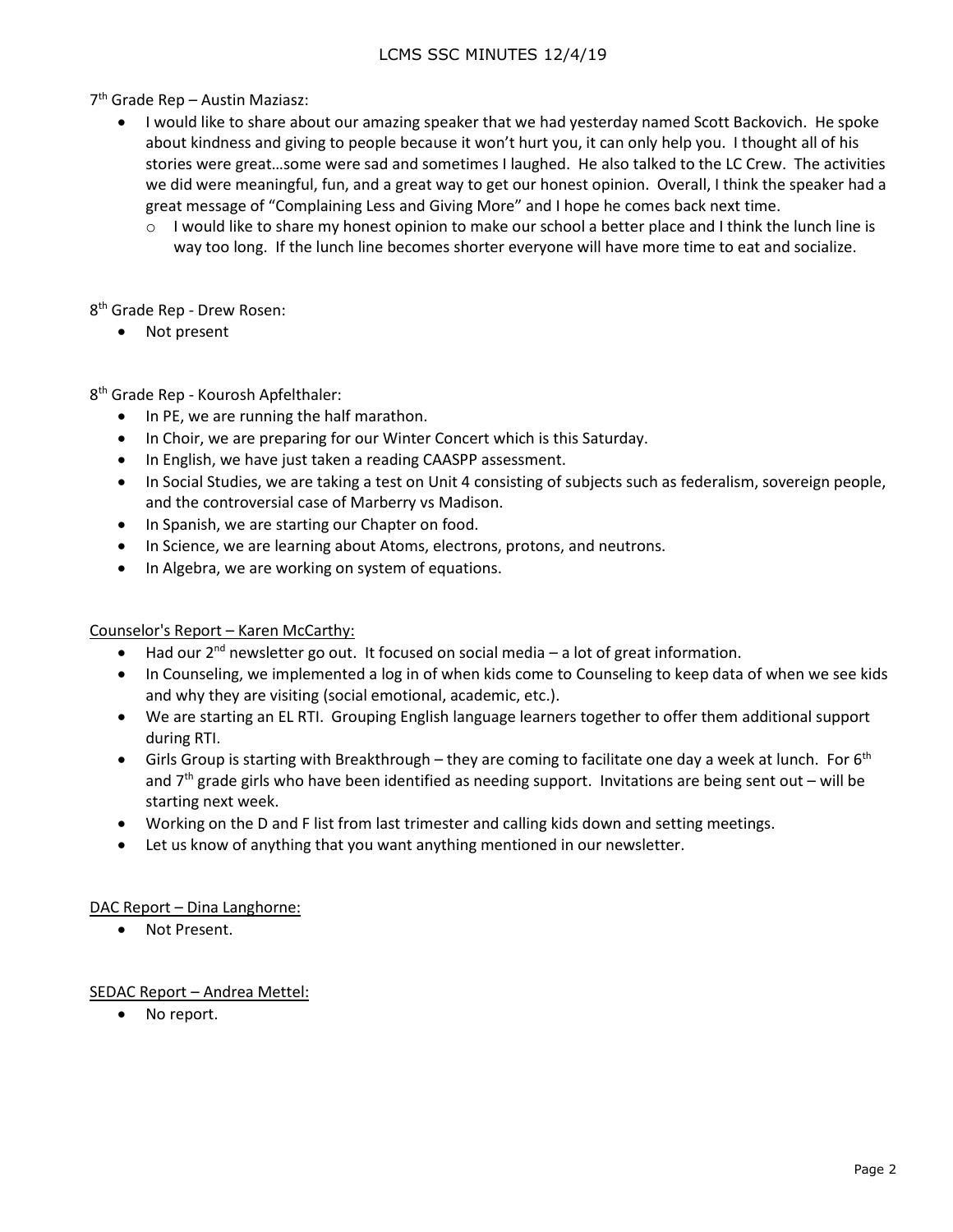7 th Grade Rep – Austin Maziasz:

- I would like to share about our amazing speaker that we had yesterday named Scott Backovich. He spoke about kindness and giving to people because it won't hurt you, it can only help you. I thought all of his stories were great…some were sad and sometimes I laughed. He also talked to the LC Crew. The activities we did were meaningful, fun, and a great way to get our honest opinion. Overall, I think the speaker had a great message of "Complaining Less and Giving More" and I hope he comes back next time.
	- o I would like to share my honest opinion to make our school a better place and I think the lunch line is way too long. If the lunch line becomes shorter everyone will have more time to eat and socialize.

8 th Grade Rep - Drew Rosen:

• Not present

8<sup>th</sup> Grade Rep - Kourosh Apfelthaler:

- In PE, we are running the half marathon.
- In Choir, we are preparing for our Winter Concert which is this Saturday.
- In English, we have just taken a reading CAASPP assessment.
- In Social Studies, we are taking a test on Unit 4 consisting of subjects such as federalism, sovereign people, and the controversial case of Marberry vs Madison.
- In Spanish, we are starting our Chapter on food.
- In Science, we are learning about Atoms, electrons, protons, and neutrons.
- In Algebra, we are working on system of equations.

## Counselor's Report – Karen McCarthy:

- Had our 2<sup>nd</sup> newsletter go out. It focused on social media a lot of great information.
- In Counseling, we implemented a log in of when kids come to Counseling to keep data of when we see kids and why they are visiting (social emotional, academic, etc.).
- We are starting an EL RTI. Grouping English language learners together to offer them additional support during RTI.
- Girls Group is starting with Breakthrough they are coming to facilitate one day a week at lunch. For  $6<sup>th</sup>$ and  $7<sup>th</sup>$  grade girls who have been identified as needing support. Invitations are being sent out – will be starting next week.
- Working on the D and F list from last trimester and calling kids down and setting meetings.
- Let us know of anything that you want anything mentioned in our newsletter.

## DAC Report – Dina Langhorne:

Not Present.

## SEDAC Report – Andrea Mettel:

No report.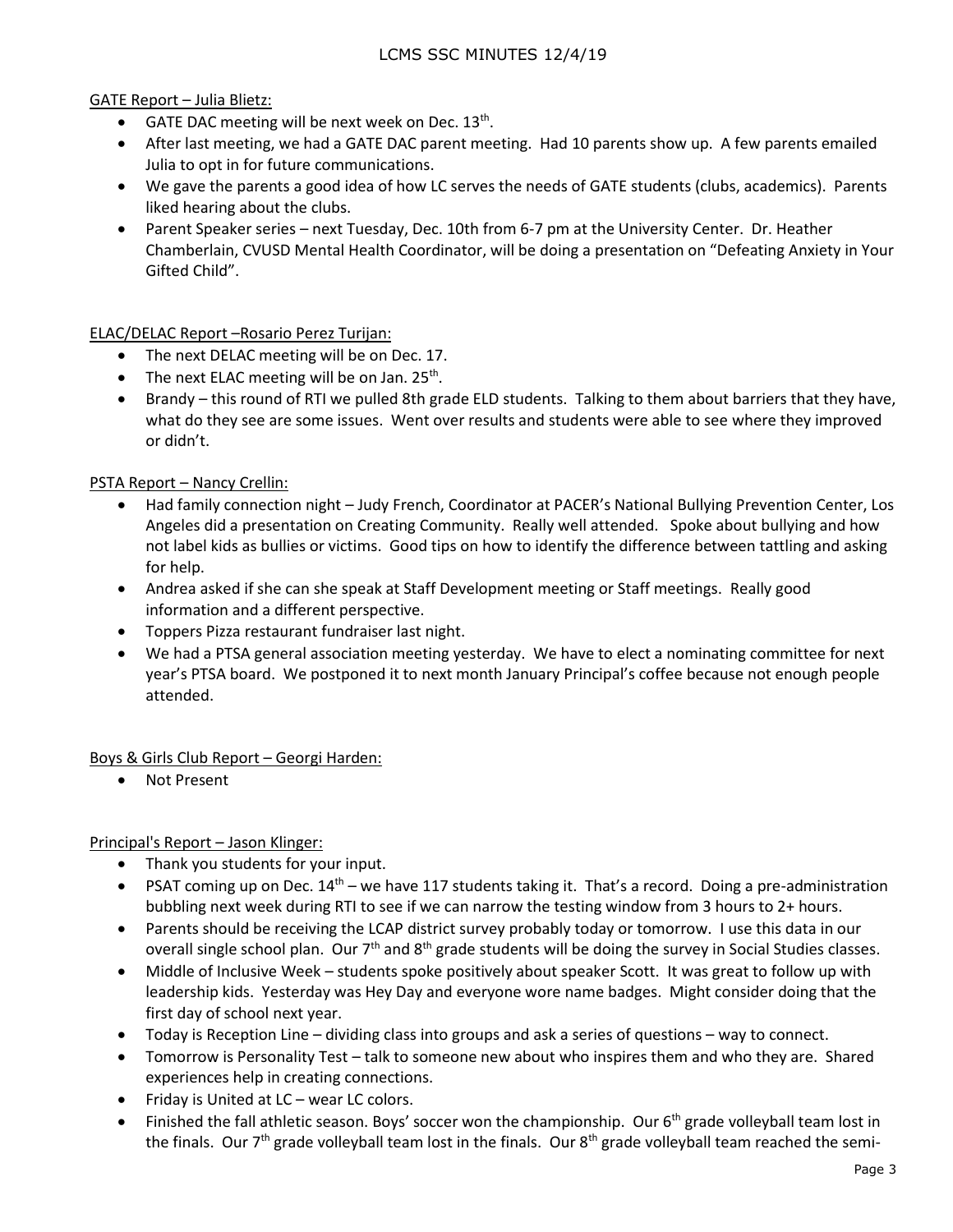## GATE Report – Julia Blietz:

- GATE DAC meeting will be next week on Dec.  $13<sup>th</sup>$ .
- After last meeting, we had a GATE DAC parent meeting. Had 10 parents show up. A few parents emailed Julia to opt in for future communications.
- We gave the parents a good idea of how LC serves the needs of GATE students (clubs, academics). Parents liked hearing about the clubs.
- Parent Speaker series next Tuesday, Dec. 10th from 6-7 pm at the University Center. Dr. Heather Chamberlain, CVUSD Mental Health Coordinator, will be doing a presentation on "Defeating Anxiety in Your Gifted Child".

ELAC/DELAC Report –Rosario Perez Turijan:

- The next DELAC meeting will be on Dec. 17.
- The next ELAC meeting will be on Jan. 25<sup>th</sup>.
- Brandy this round of RTI we pulled 8th grade ELD students. Talking to them about barriers that they have, what do they see are some issues. Went over results and students were able to see where they improved or didn't.

PSTA Report – Nancy Crellin:

- Had family connection night Judy French, Coordinator at PACER's National Bullying Prevention Center, Los Angeles did a presentation on Creating Community. Really well attended. Spoke about bullying and how not label kids as bullies or victims. Good tips on how to identify the difference between tattling and asking for help.
- Andrea asked if she can she speak at Staff Development meeting or Staff meetings. Really good information and a different perspective.
- Toppers Pizza restaurant fundraiser last night.
- We had a PTSA general association meeting yesterday. We have to elect a nominating committee for next year's PTSA board. We postponed it to next month January Principal's coffee because not enough people attended.

Boys & Girls Club Report – Georgi Harden:

Not Present

Principal's Report – Jason Klinger:

- Thank you students for your input.
- PSAT coming up on Dec.  $14<sup>th</sup>$  we have 117 students taking it. That's a record. Doing a pre-administration bubbling next week during RTI to see if we can narrow the testing window from 3 hours to 2+ hours.
- Parents should be receiving the LCAP district survey probably today or tomorrow. I use this data in our overall single school plan. Our 7<sup>th</sup> and 8<sup>th</sup> grade students will be doing the survey in Social Studies classes.
- Middle of Inclusive Week students spoke positively about speaker Scott. It was great to follow up with leadership kids. Yesterday was Hey Day and everyone wore name badges. Might consider doing that the first day of school next year.
- Today is Reception Line dividing class into groups and ask a series of questions way to connect.
- Tomorrow is Personality Test talk to someone new about who inspires them and who they are. Shared experiences help in creating connections.
- Friday is United at LC wear LC colors.
- Finished the fall athletic season. Boys' soccer won the championship. Our  $6<sup>th</sup>$  grade volleyball team lost in the finals. Our  $7<sup>th</sup>$  grade volleyball team lost in the finals. Our  $8<sup>th</sup>$  grade volleyball team reached the semi-